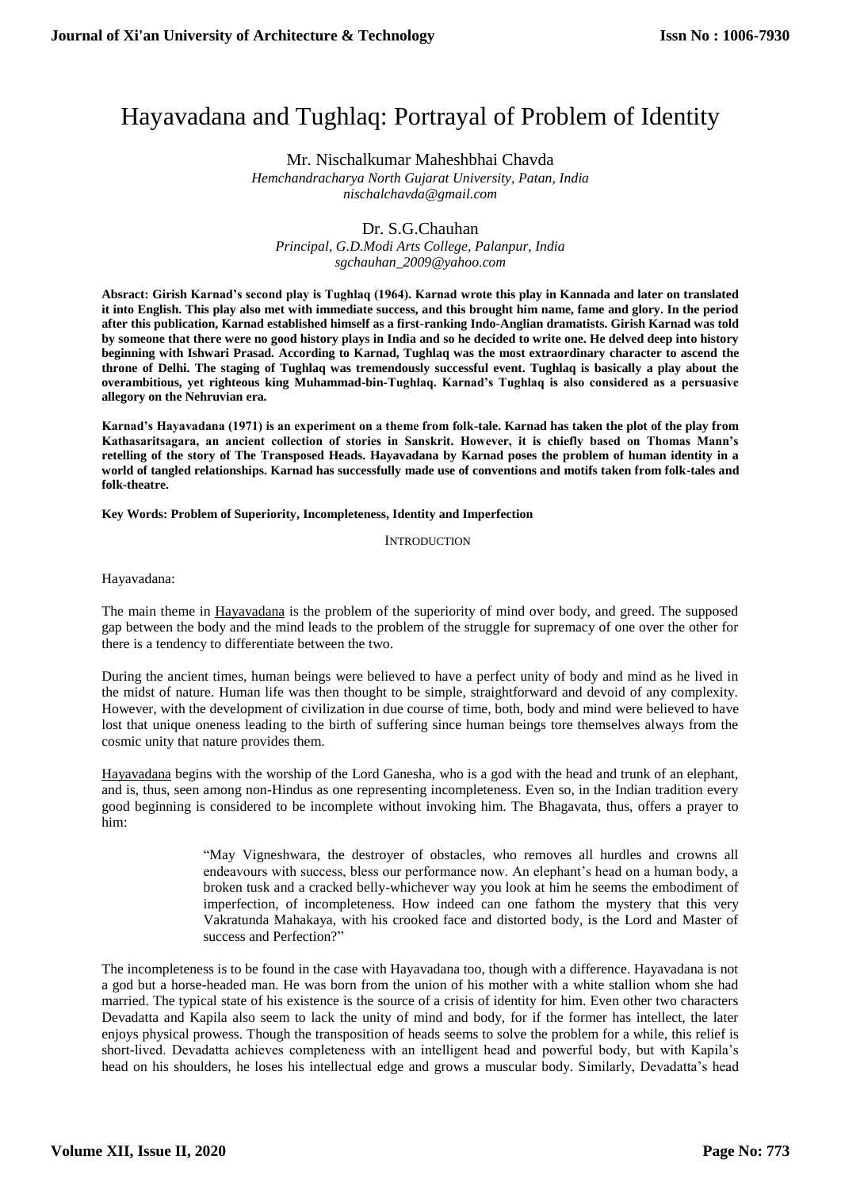# Hayavadana and Tughlaq: Portrayal of Problem of Identity

Mr. Nischalkumar Maheshbhai Chavda *Hemchandracharya North Gujarat University, Patan, India*

*nischalchavda@gmail.com*

## Dr. S.G.Chauhan

*Principal, G.D.Modi Arts College, Palanpur, India [sgchauhan\\_2009@yahoo.com](mailto:sgchauhan_2009@yahoo.com)*

**Absract: Girish Karnad's second play is Tughlaq (1964). Karnad wrote this play in Kannada and later on translated it into English. This play also met with immediate success, and this brought him name, fame and glory. In the period after this publication, Karnad established himself as a first-ranking Indo-Anglian dramatists. Girish Karnad was told by someone that there were no good history plays in India and so he decided to write one. He delved deep into history beginning with Ishwari Prasad. According to Karnad, Tughlaq was the most extraordinary character to ascend the throne of Delhi. The staging of Tughlaq was tremendously successful event. Tughlaq is basically a play about the overambitious, yet righteous king Muhammad-bin-Tughlaq. Karnad's Tughlaq is also considered as a persuasive allegory on the Nehruvian era.** 

**Karnad's Hayavadana (1971) is an experiment on a theme from folk-tale. Karnad has taken the plot of the play from Kathasaritsagara, an ancient collection of stories in Sanskrit. However, it is chiefly based on Thomas Mann's retelling of the story of The Transposed Heads. Hayavadana by Karnad poses the problem of human identity in a world of tangled relationships. Karnad has successfully made use of conventions and motifs taken from folk-tales and folk-theatre.** 

**Key Words: Problem of Superiority, Incompleteness, Identity and Imperfection**

**INTRODUCTION** 

Hayavadana:

The main theme in Hayavadana is the problem of the superiority of mind over body, and greed. The supposed gap between the body and the mind leads to the problem of the struggle for supremacy of one over the other for there is a tendency to differentiate between the two.

During the ancient times, human beings were believed to have a perfect unity of body and mind as he lived in the midst of nature. Human life was then thought to be simple, straightforward and devoid of any complexity. However, with the development of civilization in due course of time, both, body and mind were believed to have lost that unique oneness leading to the birth of suffering since human beings tore themselves always from the cosmic unity that nature provides them.

Hayavadana begins with the worship of the Lord Ganesha, who is a god with the head and trunk of an elephant, and is, thus, seen among non-Hindus as one representing incompleteness. Even so, in the Indian tradition every good beginning is considered to be incomplete without invoking him. The Bhagavata, thus, offers a prayer to him:

> "May Vigneshwara, the destroyer of obstacles, who removes all hurdles and crowns all endeavours with success, bless our performance now. An elephant's head on a human body, a broken tusk and a cracked belly-whichever way you look at him he seems the embodiment of imperfection, of incompleteness. How indeed can one fathom the mystery that this very Vakratunda Mahakaya, with his crooked face and distorted body, is the Lord and Master of success and Perfection?"

The incompleteness is to be found in the case with Hayavadana too, though with a difference. Hayavadana is not a god but a horse-headed man. He was born from the union of his mother with a white stallion whom she had married. The typical state of his existence is the source of a crisis of identity for him. Even other two characters Devadatta and Kapila also seem to lack the unity of mind and body, for if the former has intellect, the later enjoys physical prowess. Though the transposition of heads seems to solve the problem for a while, this relief is short-lived. Devadatta achieves completeness with an intelligent head and powerful body, but with Kapila's head on his shoulders, he loses his intellectual edge and grows a muscular body. Similarly, Devadatta's head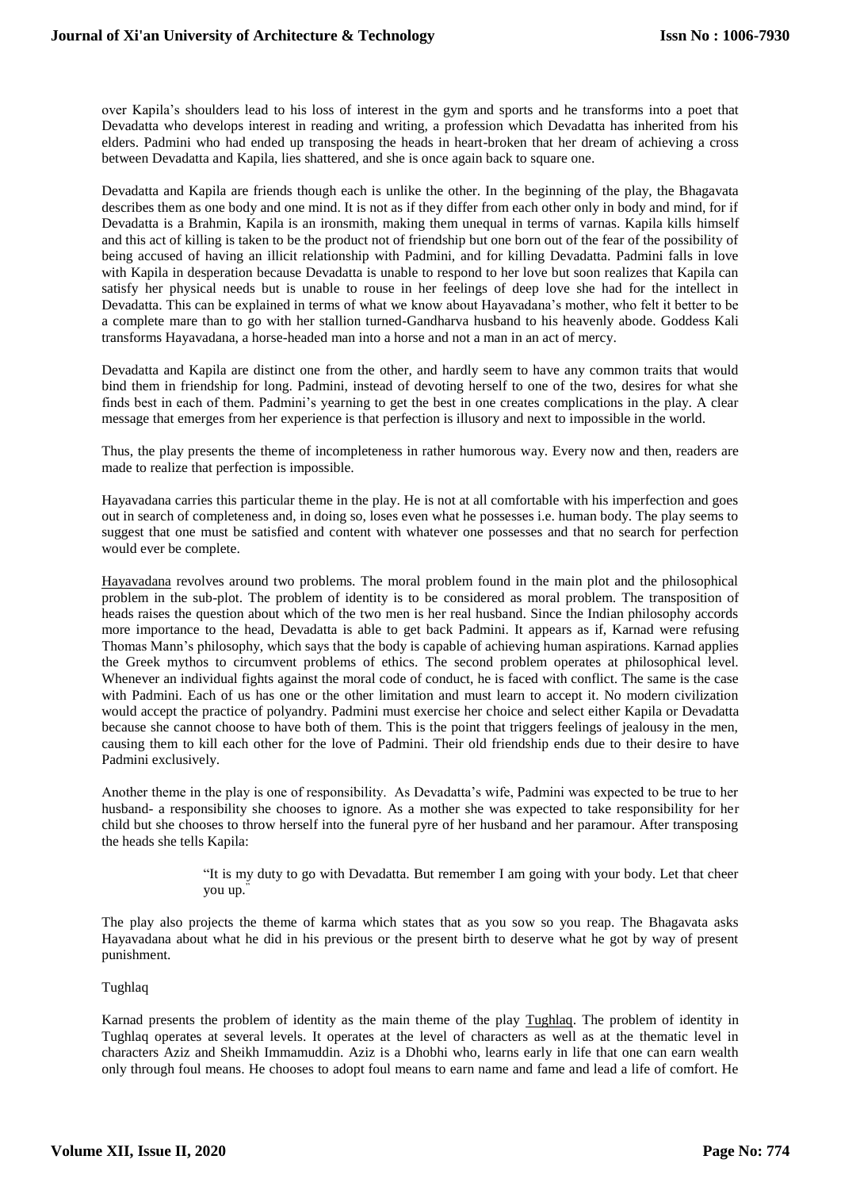over Kapila's shoulders lead to his loss of interest in the gym and sports and he transforms into a poet that Devadatta who develops interest in reading and writing, a profession which Devadatta has inherited from his elders. Padmini who had ended up transposing the heads in heart-broken that her dream of achieving a cross between Devadatta and Kapila, lies shattered, and she is once again back to square one.

Devadatta and Kapila are friends though each is unlike the other. In the beginning of the play, the Bhagavata describes them as one body and one mind. It is not as if they differ from each other only in body and mind, for if Devadatta is a Brahmin, Kapila is an ironsmith, making them unequal in terms of varnas. Kapila kills himself and this act of killing is taken to be the product not of friendship but one born out of the fear of the possibility of being accused of having an illicit relationship with Padmini, and for killing Devadatta. Padmini falls in love with Kapila in desperation because Devadatta is unable to respond to her love but soon realizes that Kapila can satisfy her physical needs but is unable to rouse in her feelings of deep love she had for the intellect in Devadatta. This can be explained in terms of what we know about Hayavadana's mother, who felt it better to be a complete mare than to go with her stallion turned-Gandharva husband to his heavenly abode. Goddess Kali transforms Hayavadana, a horse-headed man into a horse and not a man in an act of mercy.

Devadatta and Kapila are distinct one from the other, and hardly seem to have any common traits that would bind them in friendship for long. Padmini, instead of devoting herself to one of the two, desires for what she finds best in each of them. Padmini's yearning to get the best in one creates complications in the play. A clear message that emerges from her experience is that perfection is illusory and next to impossible in the world.

Thus, the play presents the theme of incompleteness in rather humorous way. Every now and then, readers are made to realize that perfection is impossible.

Hayavadana carries this particular theme in the play. He is not at all comfortable with his imperfection and goes out in search of completeness and, in doing so, loses even what he possesses i.e. human body. The play seems to suggest that one must be satisfied and content with whatever one possesses and that no search for perfection would ever be complete.

Hayavadana revolves around two problems. The moral problem found in the main plot and the philosophical problem in the sub-plot. The problem of identity is to be considered as moral problem. The transposition of heads raises the question about which of the two men is her real husband. Since the Indian philosophy accords more importance to the head, Devadatta is able to get back Padmini. It appears as if, Karnad were refusing Thomas Mann's philosophy, which says that the body is capable of achieving human aspirations. Karnad applies the Greek mythos to circumvent problems of ethics. The second problem operates at philosophical level. Whenever an individual fights against the moral code of conduct, he is faced with conflict. The same is the case with Padmini. Each of us has one or the other limitation and must learn to accept it. No modern civilization would accept the practice of polyandry. Padmini must exercise her choice and select either Kapila or Devadatta because she cannot choose to have both of them. This is the point that triggers feelings of jealousy in the men, causing them to kill each other for the love of Padmini. Their old friendship ends due to their desire to have Padmini exclusively.

Another theme in the play is one of responsibility. As Devadatta's wife, Padmini was expected to be true to her husband- a responsibility she chooses to ignore. As a mother she was expected to take responsibility for her child but she chooses to throw herself into the funeral pyre of her husband and her paramour. After transposing the heads she tells Kapila:

> "It is my duty to go with Devadatta. But remember I am going with your body. Let that cheer you up."

The play also projects the theme of karma which states that as you sow so you reap. The Bhagavata asks Hayavadana about what he did in his previous or the present birth to deserve what he got by way of present punishment.

## Tughlaq

Karnad presents the problem of identity as the main theme of the play Tughlaq. The problem of identity in Tughlaq operates at several levels. It operates at the level of characters as well as at the thematic level in characters Aziz and Sheikh Immamuddin. Aziz is a Dhobhi who, learns early in life that one can earn wealth only through foul means. He chooses to adopt foul means to earn name and fame and lead a life of comfort. He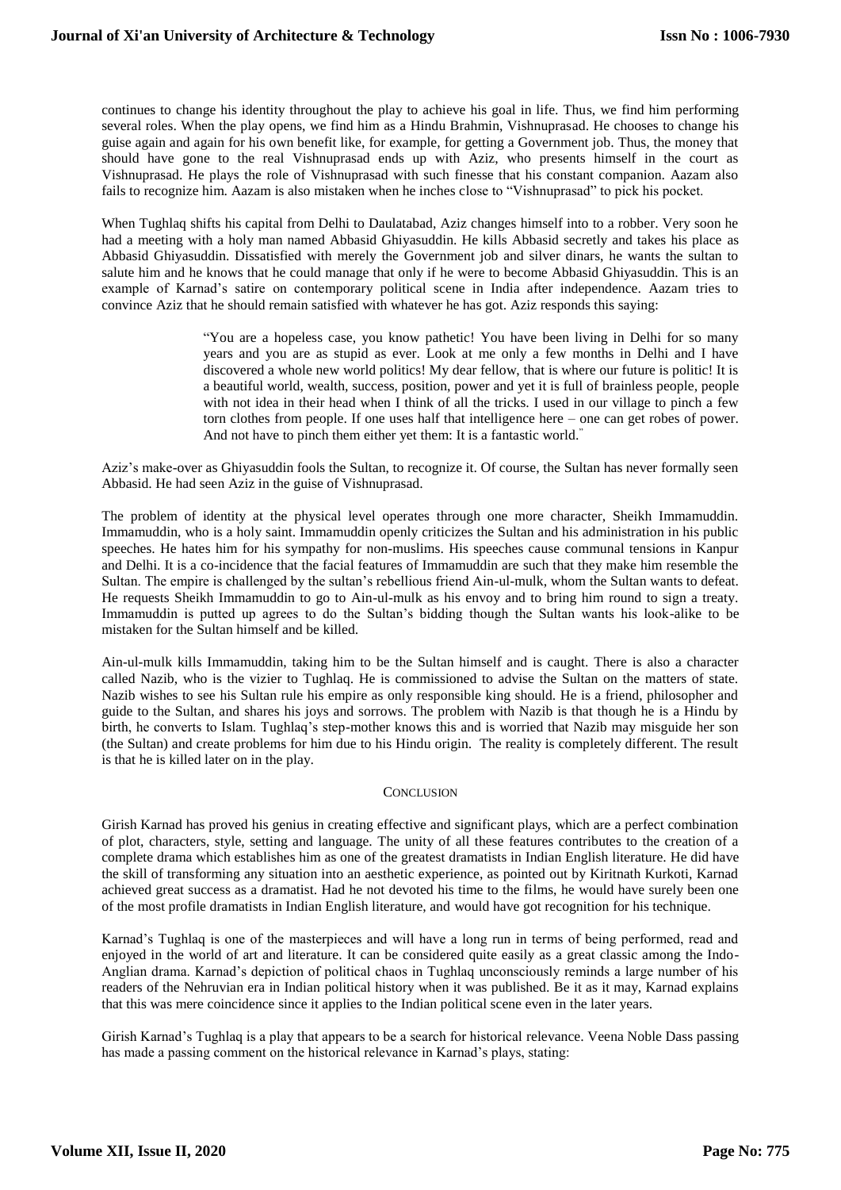continues to change his identity throughout the play to achieve his goal in life. Thus, we find him performing several roles. When the play opens, we find him as a Hindu Brahmin, Vishnuprasad. He chooses to change his guise again and again for his own benefit like, for example, for getting a Government job. Thus, the money that should have gone to the real Vishnuprasad ends up with Aziz, who presents himself in the court as Vishnuprasad. He plays the role of Vishnuprasad with such finesse that his constant companion. Aazam also fails to recognize him. Aazam is also mistaken when he inches close to "Vishnuprasad" to pick his pocket.

When Tughlaq shifts his capital from Delhi to Daulatabad, Aziz changes himself into to a robber. Very soon he had a meeting with a holy man named Abbasid Ghiyasuddin. He kills Abbasid secretly and takes his place as Abbasid Ghiyasuddin. Dissatisfied with merely the Government job and silver dinars, he wants the sultan to salute him and he knows that he could manage that only if he were to become Abbasid Ghiyasuddin. This is an example of Karnad's satire on contemporary political scene in India after independence. Aazam tries to convince Aziz that he should remain satisfied with whatever he has got. Aziz responds this saying:

> "You are a hopeless case, you know pathetic! You have been living in Delhi for so many years and you are as stupid as ever. Look at me only a few months in Delhi and I have discovered a whole new world politics! My dear fellow, that is where our future is politic! It is a beautiful world, wealth, success, position, power and yet it is full of brainless people, people with not idea in their head when I think of all the tricks. I used in our village to pinch a few torn clothes from people. If one uses half that intelligence here – one can get robes of power. And not have to pinch them either yet them: It is a fantastic world."

Aziz's make-over as Ghiyasuddin fools the Sultan, to recognize it. Of course, the Sultan has never formally seen Abbasid. He had seen Aziz in the guise of Vishnuprasad.

The problem of identity at the physical level operates through one more character, Sheikh Immamuddin. Immamuddin, who is a holy saint. Immamuddin openly criticizes the Sultan and his administration in his public speeches. He hates him for his sympathy for non-muslims. His speeches cause communal tensions in Kanpur and Delhi. It is a co-incidence that the facial features of Immamuddin are such that they make him resemble the Sultan. The empire is challenged by the sultan's rebellious friend Ain-ul-mulk, whom the Sultan wants to defeat. He requests Sheikh Immamuddin to go to Ain-ul-mulk as his envoy and to bring him round to sign a treaty. Immamuddin is putted up agrees to do the Sultan's bidding though the Sultan wants his look-alike to be mistaken for the Sultan himself and be killed.

Ain-ul-mulk kills Immamuddin, taking him to be the Sultan himself and is caught. There is also a character called Nazib, who is the vizier to Tughlaq. He is commissioned to advise the Sultan on the matters of state. Nazib wishes to see his Sultan rule his empire as only responsible king should. He is a friend, philosopher and guide to the Sultan, and shares his joys and sorrows. The problem with Nazib is that though he is a Hindu by birth, he converts to Islam. Tughlaq's step-mother knows this and is worried that Nazib may misguide her son (the Sultan) and create problems for him due to his Hindu origin. The reality is completely different. The result is that he is killed later on in the play.

### **CONCLUSION**

Girish Karnad has proved his genius in creating effective and significant plays, which are a perfect combination of plot, characters, style, setting and language. The unity of all these features contributes to the creation of a complete drama which establishes him as one of the greatest dramatists in Indian English literature. He did have the skill of transforming any situation into an aesthetic experience, as pointed out by Kiritnath Kurkoti, Karnad achieved great success as a dramatist. Had he not devoted his time to the films, he would have surely been one of the most profile dramatists in Indian English literature, and would have got recognition for his technique.

Karnad's Tughlaq is one of the masterpieces and will have a long run in terms of being performed, read and enjoyed in the world of art and literature. It can be considered quite easily as a great classic among the Indo-Anglian drama. Karnad's depiction of political chaos in Tughlaq unconsciously reminds a large number of his readers of the Nehruvian era in Indian political history when it was published. Be it as it may, Karnad explains that this was mere coincidence since it applies to the Indian political scene even in the later years.

Girish Karnad's Tughlaq is a play that appears to be a search for historical relevance. Veena Noble Dass passing has made a passing comment on the historical relevance in Karnad's plays, stating: